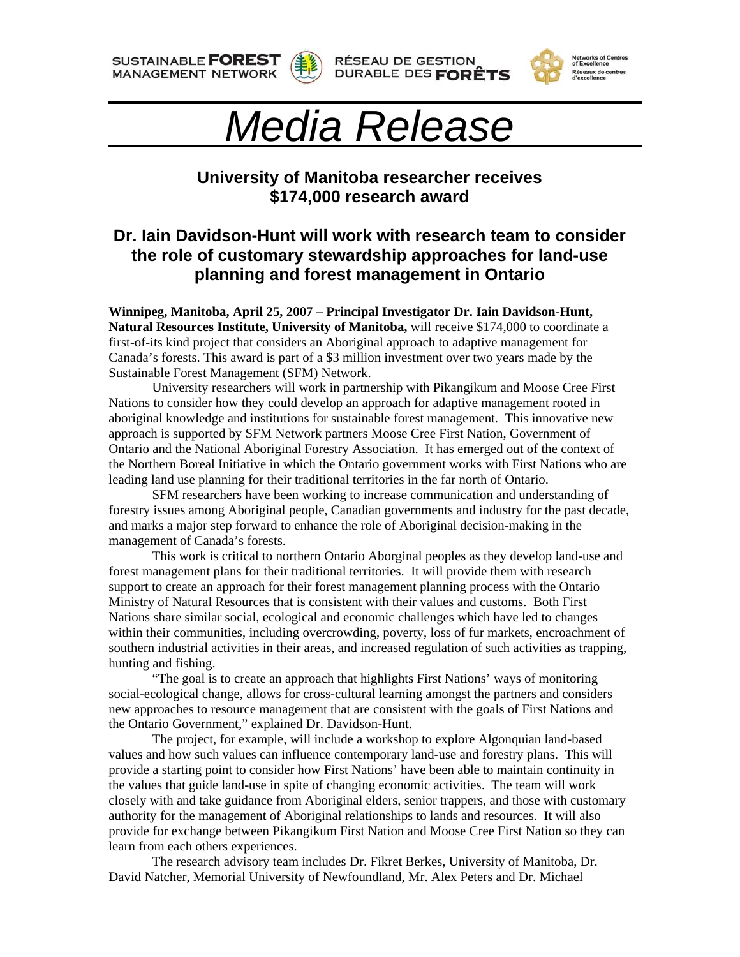**SUSTAINABLE FOREST MANAGEMENT NETWORK** 







**Networks of Centres<br>of Excellence** Réseaux de centres<br>d'excellence

## *Media Release*

## **University of Manitoba researcher receives \$174,000 research award**

## **Dr. Iain Davidson-Hunt will work with research team to consider the role of customary stewardship approaches for land-use planning and forest management in Ontario**

**Winnipeg, Manitoba, April 25, 2007 – Principal Investigator Dr. Iain Davidson-Hunt, Natural Resources Institute, University of Manitoba,** will receive \$174,000 to coordinate a first-of-its kind project that considers an Aboriginal approach to adaptive management for Canada's forests. This award is part of a \$3 million investment over two years made by the Sustainable Forest Management (SFM) Network.

 University researchers will work in partnership with Pikangikum and Moose Cree First Nations to consider how they could develop an approach for adaptive management rooted in aboriginal knowledge and institutions for sustainable forest management. This innovative new approach is supported by SFM Network partners Moose Cree First Nation, Government of Ontario and the National Aboriginal Forestry Association. It has emerged out of the context of the Northern Boreal Initiative in which the Ontario government works with First Nations who are leading land use planning for their traditional territories in the far north of Ontario.

 SFM researchers have been working to increase communication and understanding of forestry issues among Aboriginal people, Canadian governments and industry for the past decade, and marks a major step forward to enhance the role of Aboriginal decision-making in the management of Canada's forests.

This work is critical to northern Ontario Aborginal peoples as they develop land-use and forest management plans for their traditional territories. It will provide them with research support to create an approach for their forest management planning process with the Ontario Ministry of Natural Resources that is consistent with their values and customs. Both First Nations share similar social, ecological and economic challenges which have led to changes within their communities, including overcrowding, poverty, loss of fur markets, encroachment of southern industrial activities in their areas, and increased regulation of such activities as trapping, hunting and fishing.

"The goal is to create an approach that highlights First Nations' ways of monitoring social-ecological change, allows for cross-cultural learning amongst the partners and considers new approaches to resource management that are consistent with the goals of First Nations and the Ontario Government," explained Dr. Davidson-Hunt.

The project, for example, will include a workshop to explore Algonquian land-based values and how such values can influence contemporary land-use and forestry plans. This will provide a starting point to consider how First Nations' have been able to maintain continuity in the values that guide land-use in spite of changing economic activities. The team will work closely with and take guidance from Aboriginal elders, senior trappers, and those with customary authority for the management of Aboriginal relationships to lands and resources. It will also provide for exchange between Pikangikum First Nation and Moose Cree First Nation so they can learn from each others experiences.

The research advisory team includes Dr. Fikret Berkes, University of Manitoba, Dr. David Natcher, Memorial University of Newfoundland, Mr. Alex Peters and Dr. Michael